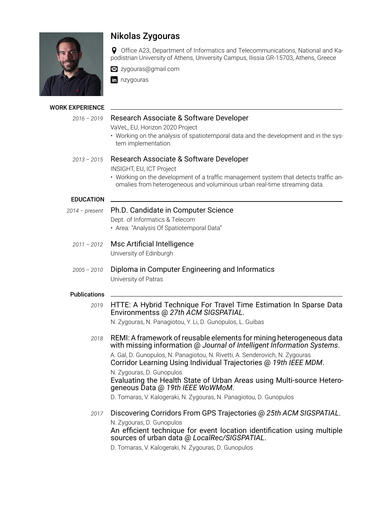

### WORK EXPERIENCE

# Nikolas Zygouras

Office A23, Department of Informatics and Telecommunications, National and Kapodistrian University of Athens, University Campus, Ilissia GR-15703, Athens, Greece

■ zygouras@gmail.com

**n** nzvgouras

## *2016 – 2019* Research Associate & Software Developer

VaVeL, EU, Horizon 2020 Project

• Working on the analysis of spatiotemporal data and the development and in the system implementation.

# *2013 – 2015* Research Associate & Software Developer

INSIGHT, EU, ICT Project

• Working on the development of a traffic management system that detects traffic anomalies from heterogeneous and voluminous urban real-time streaming data.

### EDUCATION

- *2014 present* Ph.D. Candidate in Computer Science Dept. of Informatics & Telecom
	- Area: "Analysis Of Spatiotemporal Data"
	- *2011 2012* Msc Artificial Intelligence University of Edinburgh
	- *2005 2010* Diploma in Computer Engineering and Informatics University of Patras

## **Publications**

*2019* [HTTE: A Hybrid Technique For Travel Time Estimation In Sparse Data](https://dl.acm.org/doi/abs/10.1145/3347146.3359096?download=true) [Environments](https://dl.acm.org/doi/abs/10.1145/3347146.3359096?download=true)s @ *27th ACM SIGSPATIAL*.

N. Zygouras, N. Panagiotou, Y. Li, D. Gunopulos, L. Guibas

*2018* [REMI: A framework of reusable elements for mining heterogeneous data](https://www.semanticscholar.org/paper/REMI%3A-A-framework-of-reusable-elements-for-mining-Gal-Gunopulos/dc021011a56906d87dcc218f664892754a5e4bc8) [with missing information](https://www.semanticscholar.org/paper/REMI%3A-A-framework-of-reusable-elements-for-mining-Gal-Gunopulos/dc021011a56906d87dcc218f664892754a5e4bc8) @ *Journal of Intelligent Information Systems*. A. Gal, D. Gunopulos, N. Panagiotou, N. Rivetti, A. Senderovich, N. Zygouras [Corridor Learning Using Individual Trajectories](https://ieeexplore.ieee.org/document/8411272) @ *19th IEEE MDM*. N. Zygouras, D. Gunopulos [Evaluating the Health State of Urban Areas using Multi-source Hetero](https://ieeexplore.ieee.org/document/8449761)[geneous Data](https://ieeexplore.ieee.org/document/8449761) @ *19th IEEE WoWMoM*. D. Tomaras, V. Kalogeraki, N. Zygouras, N. Panagiotou, D. Gunopulos

*2017* [Discovering Corridors From GPS Trajectories](https://dl.acm.org/doi/10.1145/3139958.3139994) @ *25th ACM SIGSPATIAL*. N. Zygouras, D. Gunopulos [An efficient technique for event location identification using multiple](https://dl.acm.org/doi/10.1145/3148150.3148158) [sources of urban data](https://dl.acm.org/doi/10.1145/3148150.3148158) @ *LocalRec/SIGSPATIAL*.

D. Tomaras, V. Kalogeraki, N. Zygouras, D. Gunopulos